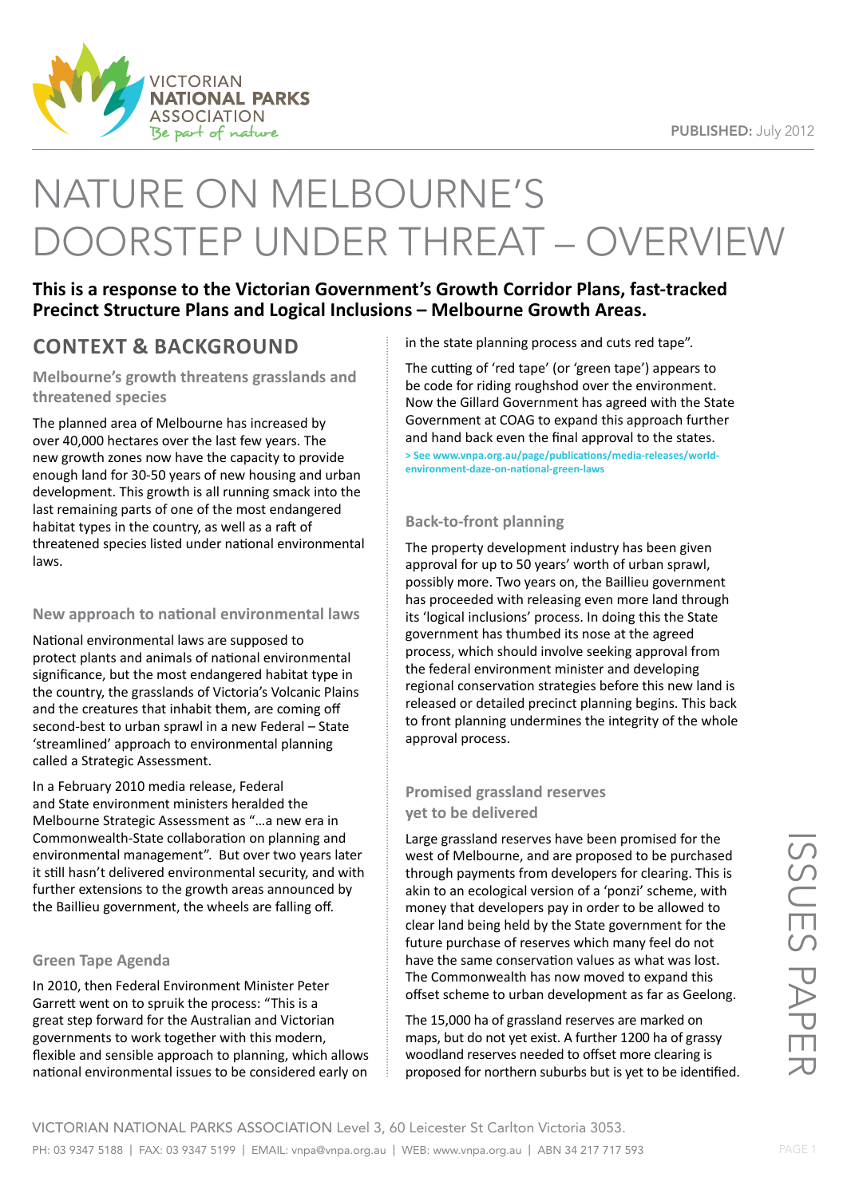

# NATURE ON MELBOURNE'S DOORSTEP UNDER THREAT – OVERVIEW

**This is a response to the Victorian Government's Growth Corridor Plans, fast-tracked Precinct Structure Plans and Logical Inclusions – Melbourne Growth Areas.**

## **CONTEXT & BACKGROUND**

**Melbourne's growth threatens grasslands and threatened species**

The planned area of Melbourne has increased by over 40,000 hectares over the last few years. The new growth zones now have the capacity to provide enough land for 30-50 years of new housing and urban development. This growth is all running smack into the last remaining parts of one of the most endangered habitat types in the country, as well as a raft of threatened species listed under national environmental laws.

## **New approach to national environmental laws**

National environmental laws are supposed to protect plants and animals of national environmental significance, but the most endangered habitat type in the country, the grasslands of Victoria's Volcanic Plains and the creatures that inhabit them, are coming off second-best to urban sprawl in a new Federal – State 'streamlined' approach to environmental planning called a Strategic Assessment.

In a February 2010 media release, Federal and State environment ministers heralded the Melbourne Strategic Assessment as "…a new era in Commonwealth-State collaboration on planning and environmental management". But over two years later it still hasn't delivered environmental security, and with further extensions to the growth areas announced by the Baillieu government, the wheels are falling off.

## **Green Tape Agenda**

In 2010, then Federal Environment Minister Peter Garrett went on to spruik the process: "This is a great step forward for the Australian and Victorian governments to work together with this modern, flexible and sensible approach to planning, which allows national environmental issues to be considered early on

in the state planning process and cuts red tape".

The cutting of 'red tape' (or 'green tape') appears to be code for riding roughshod over the environment. Now the Gillard Government has agreed with the State Government at COAG to expand this approach further and hand back even the final approval to the states.

**> See www.vnpa.org.au/page/publications/media-releases/worldenvironment-daze-on-national-green-laws**

## **Back-to-front planning**

The property development industry has been given approval for up to 50 years' worth of urban sprawl, possibly more. Two years on, the Baillieu government has proceeded with releasing even more land through its 'logical inclusions' process. In doing this the State government has thumbed its nose at the agreed process, which should involve seeking approval from the federal environment minister and developing regional conservation strategies before this new land is released or detailed precinct planning begins. This back to front planning undermines the integrity of the whole approval process.

## **Promised grassland reserves yet to be delivered**

Large grassland reserves have been promised for the west of Melbourne, and are proposed to be purchased through payments from developers for clearing. This is akin to an ecological version of a 'ponzi' scheme, with money that developers pay in order to be allowed to clear land being held by the State government for the future purchase of reserves which many feel do not have the same conservation values as what was lost. The Commonwealth has now moved to expand this offset scheme to urban development as far as Geelong.

The 15,000 ha of grassland reserves are marked on maps, but do not yet exist. A further 1200 ha of grassy woodland reserves needed to offset more clearing is proposed for northern suburbs but is yet to be identified.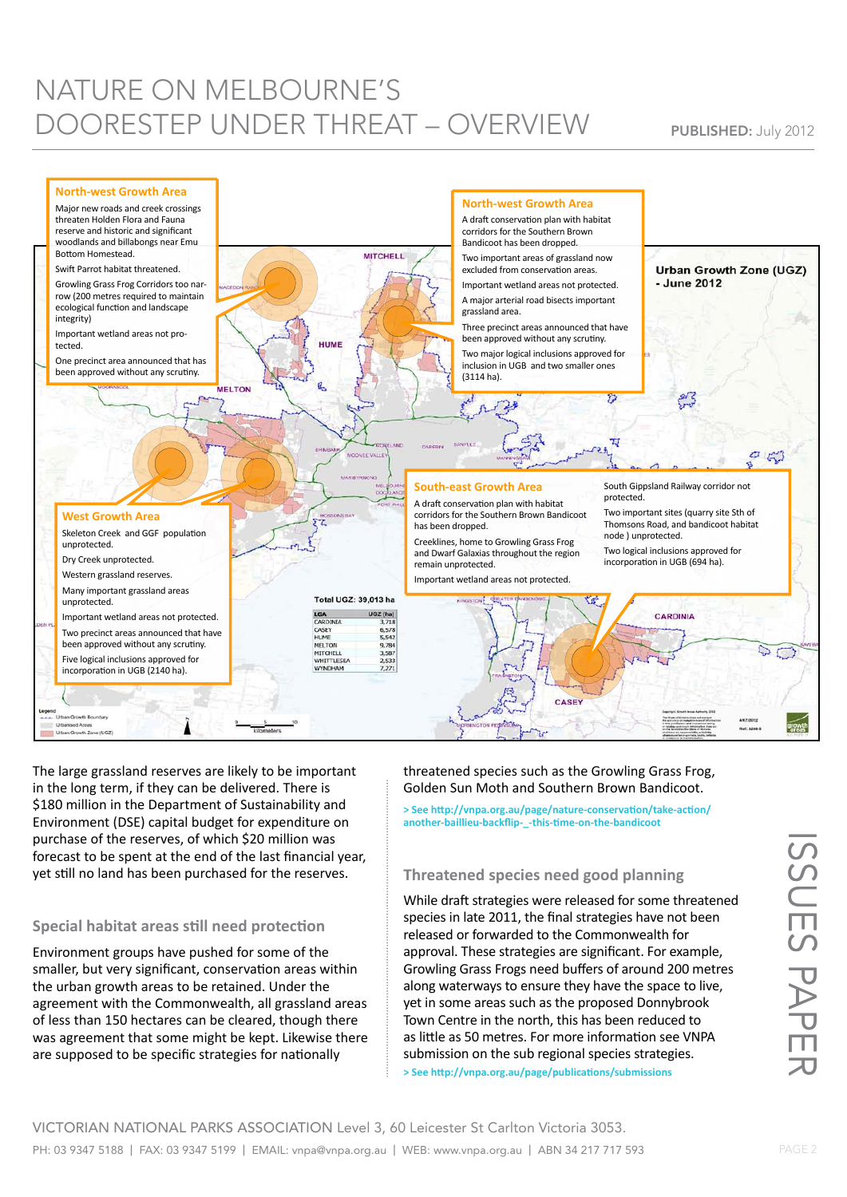## NATURE ON MELBOURNE'S DOORESTEP UNDER THREAT – OVERVIEW PUBLISHED: July 2012



The large grassland reserves are likely to be important in the long term, if they can be delivered. There is \$180 million in the Department of Sustainability and Environment (DSE) capital budget for expenditure on purchase of the reserves, of which \$20 million was forecast to be spent at the end of the last financial year, yet still no land has been purchased for the reserves.

## **Special habitat areas still need protection**

Environment groups have pushed for some of the smaller, but very significant, conservation areas within the urban growth areas to be retained. Under the agreement with the Commonwealth, all grassland areas of less than 150 hectares can be cleared, though there was agreement that some might be kept. Likewise there are supposed to be specific strategies for nationally

threatened species such as the Growling Grass Frog, Golden Sun Moth and Southern Brown Bandicoot.

**> See http://vnpa.org.au/page/nature-conservation/take-action/ another-baillieu-backflip-\_-this-time-on-the-bandicoot**

## **Threatened species need good planning**

While draft strategies were released for some threatened species in late 2011, the final strategies have not been released or forwarded to the Commonwealth for approval. These strategies are significant. For example, Growling Grass Frogs need buffers of around 200 metres along waterways to ensure they have the space to live, yet in some areas such as the proposed Donnybrook Town Centre in the north, this has been reduced to as little as 50 metres. For more information see VNPA submission on the sub regional species strategies. **> See http://vnpa.org.au/page/publications/submissions** 

ISSUES PAPER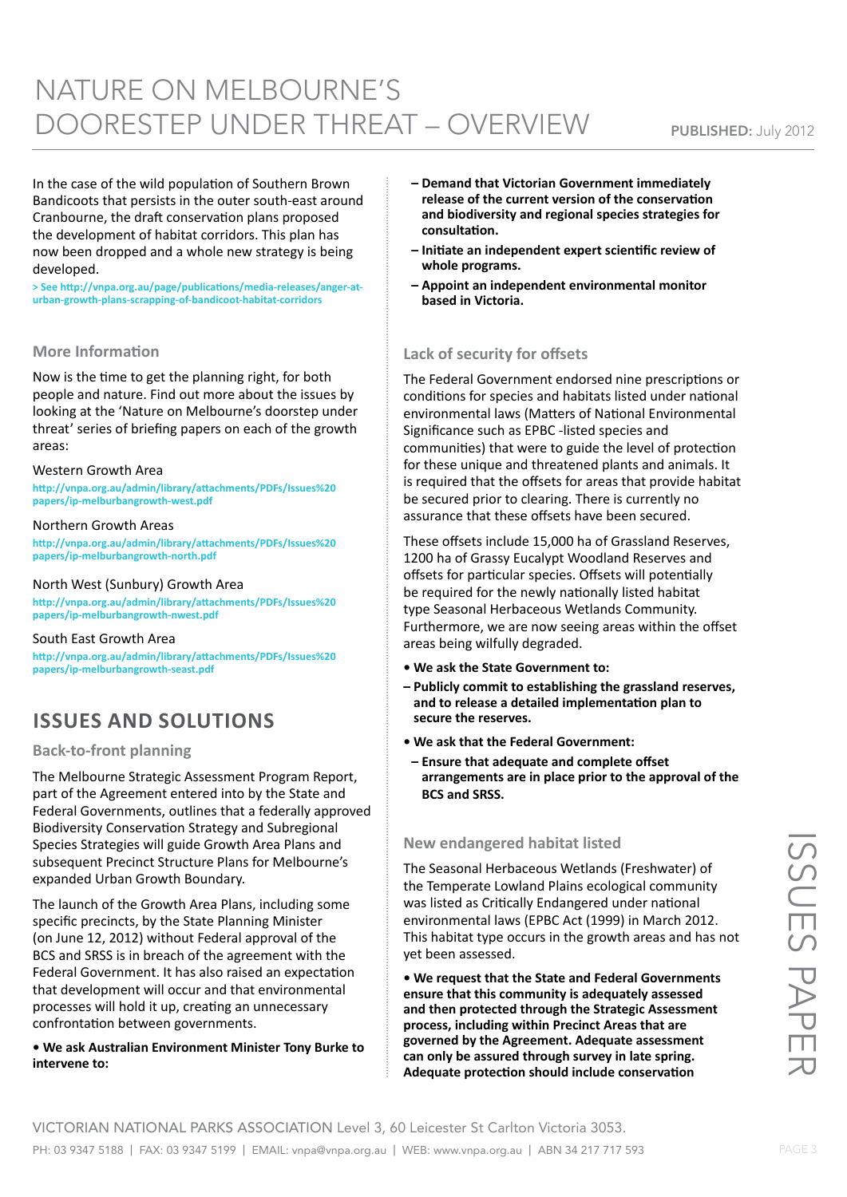## NATURE ON MELBOURNE'S DOORESTEP UNDER THREAT – OVERVIEW PUBLISHED: July 2012

In the case of the wild population of Southern Brown Bandicoots that persists in the outer south-east around Cranbourne, the draft conservation plans proposed the development of habitat corridors. This plan has now been dropped and a whole new strategy is being developed.

**> See http://vnpa.org.au/page/publications/media-releases/anger-aturban-growth-plans-scrapping-of-bandicoot-habitat-corridors**

#### **More Information**

Now is the time to get the planning right, for both people and nature. Find out more about the issues by looking at the 'Nature on Melbourne's doorstep under threat' series of briefing papers on each of the growth areas:

#### Western Growth Area

**http://vnpa.org.au/admin/library/attachments/PDFs/Issues%20 papers/ip-melburbangrowth-west.pdf**

#### Northern Growth Areas

**http://vnpa.org.au/admin/library/attachments/PDFs/Issues%20 papers/ip-melburbangrowth-north.pdf**

#### North West (Sunbury) Growth Area

**http://vnpa.org.au/admin/library/attachments/PDFs/Issues%20 papers/ip-melburbangrowth-nwest.pdf**

#### South East Growth Area

**http://vnpa.org.au/admin/library/attachments/PDFs/Issues%20 papers/ip-melburbangrowth-seast.pdf**

## **Issues and solutions**

#### **Back-to-front planning**

The Melbourne Strategic Assessment Program Report, part of the Agreement entered into by the State and Federal Governments, outlines that a federally approved Biodiversity Conservation Strategy and Subregional Species Strategies will guide Growth Area Plans and subsequent Precinct Structure Plans for Melbourne's expanded Urban Growth Boundary.

The launch of the Growth Area Plans, including some specific precincts, by the State Planning Minister (on June 12, 2012) without Federal approval of the BCS and SRSS is in breach of the agreement with the Federal Government. It has also raised an expectation that development will occur and that environmental processes will hold it up, creating an unnecessary confrontation between governments.

#### **• We ask Australian Environment Minister Tony Burke to intervene to:**

- **Demand that Victorian Government immediately release of the current version of the conservation and biodiversity and regional species strategies for consultation.**
- **Initiate an independent expert scientific review of whole programs.**
- **Appoint an independent environmental monitor based in Victoria.**

## **Lack of security for offsets**

The Federal Government endorsed nine prescriptions or conditions for species and habitats listed under national environmental laws (Matters of National Environmental Significance such as EPBC -listed species and communities) that were to guide the level of protection for these unique and threatened plants and animals. It is required that the offsets for areas that provide habitat be secured prior to clearing. There is currently no assurance that these offsets have been secured.

These offsets include 15,000 ha of Grassland Reserves, 1200 ha of Grassy Eucalypt Woodland Reserves and offsets for particular species. Offsets will potentially be required for the newly nationally listed habitat type Seasonal Herbaceous Wetlands Community. Furthermore, we are now seeing areas within the offset areas being wilfully degraded.

- **We ask the State Government to:**
- **Publicly commit to establishing the grassland reserves, and to release a detailed implementation plan to secure the reserves.**
- **We ask that the Federal Government:**
- **Ensure that adequate and complete offset arrangements are in place prior to the approval of the BCS and SRSS.**

#### **New endangered habitat listed**

The Seasonal Herbaceous Wetlands (Freshwater) of the Temperate Lowland Plains ecological community was listed as Critically Endangered under national environmental laws (EPBC Act (1999) in March 2012. This habitat type occurs in the growth areas and has not yet been assessed.

**• We request that the State and Federal Governments ensure that this community is adequately assessed and then protected through the Strategic Assessment process, including within Precinct Areas that are governed by the Agreement. Adequate assessment can only be assured through survey in late spring. Adequate protection should include conservation**